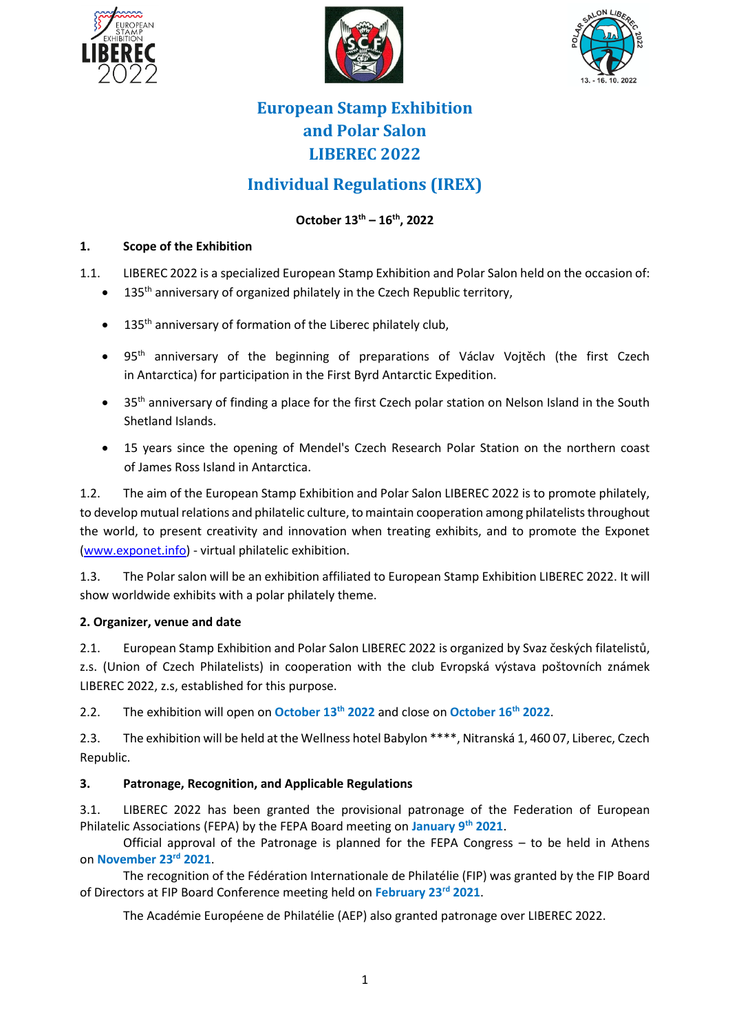





# **European Stamp Exhibition and Polar Salon LIBEREC 2022**

# **Individual Regulations (IREX)**

## **October 13th – 16th, 2022**

## **1. Scope of the Exhibition**

- 1.1. LIBEREC 2022 is a specialized European Stamp Exhibition and Polar Salon held on the occasion of:
	- 135<sup>th</sup> anniversary of organized philately in the Czech Republic territory,
	- 135<sup>th</sup> anniversary of formation of the Liberec philately club,
	- 95th anniversary of the beginning of preparations of Václav Vojtěch (the first Czech in Antarctica) for participation in the First Byrd Antarctic Expedition.
	- 35<sup>th</sup> anniversary of finding a place for the first Czech polar station on Nelson Island in the South Shetland Islands.
	- 15 years since the opening of Mendel's Czech Research Polar Station on the northern coast of James Ross Island in Antarctica.

1.2. The aim of the European Stamp Exhibition and Polar Salon LIBEREC 2022 is to promote philately, to develop mutual relations and philatelic culture, to maintain cooperation among philatelists throughout the world, to present creativity and innovation when treating exhibits, and to promote the Exponet [\(www.exponet.info\)](http://www.exponet.info/) - virtual philatelic exhibition.

1.3. The Polar salon will be an exhibition affiliated to European Stamp Exhibition LIBEREC 2022. It will show worldwide exhibits with a polar philately theme.

## **2. Organizer, venue and date**

2.1. European Stamp Exhibition and Polar Salon LIBEREC 2022 is organized by Svaz českých filatelistů, z.s. (Union of Czech Philatelists) in cooperation with the club Evropská výstava poštovních známek LIBEREC 2022, z.s, established for this purpose.

2.2. The exhibition will open on **October 13th 2022** and close on **October 16th 2022**.

2.3. The exhibition will be held at the Wellness hotel Babylon \*\*\*\*, Nitranská 1, 460 07, Liberec, Czech Republic.

## **3. Patronage, Recognition, and Applicable Regulations**

3.1. LIBEREC 2022 has been granted the provisional patronage of the Federation of European Philatelic Associations (FEPA) by the FEPA Board meeting on **January 9th 2021**.

Official approval of the Patronage is planned for the FEPA Congress – to be held in Athens on **November 23rd 2021**.

The recognition of the Fédération Internationale de Philatélie (FIP) was granted by the FIP Board of Directors at FIP Board Conference meeting held on **February 23rd 2021**.

The Académie Européene de Philatélie (AEP) also granted patronage over LIBEREC 2022.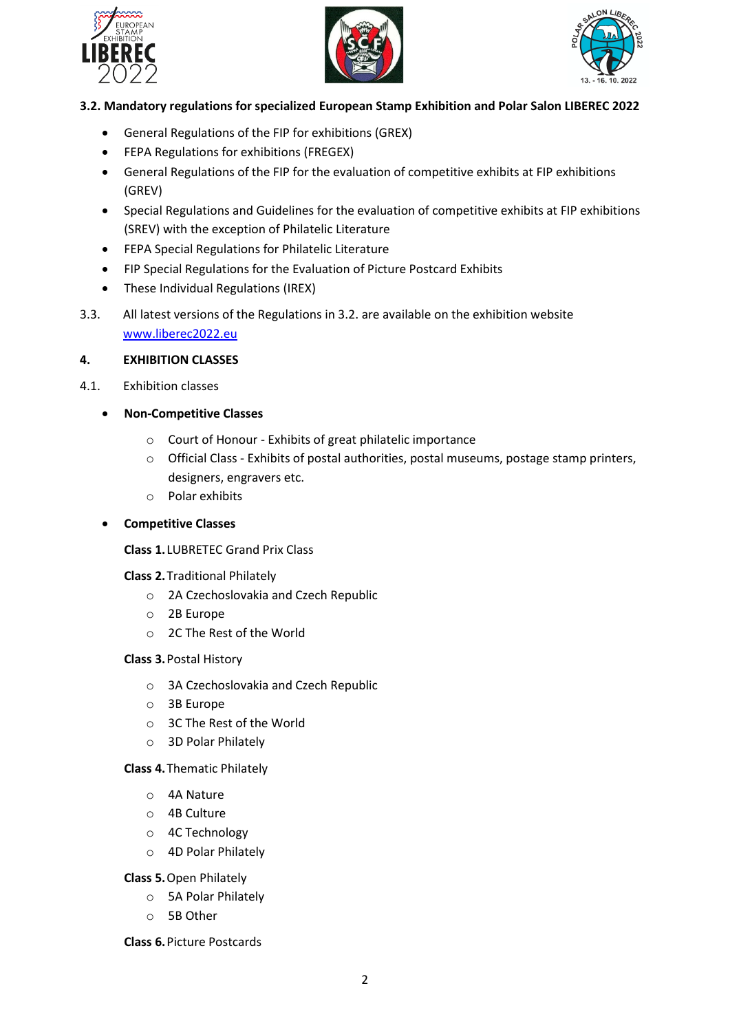





#### **3.2. Mandatory regulations for specialized European Stamp Exhibition and Polar Salon LIBEREC 2022**

- General Regulations of the FIP for exhibitions (GREX)
- FEPA Regulations for exhibitions (FREGEX)
- General Regulations of the FIP for the evaluation of competitive exhibits at FIP exhibitions (GREV)
- Special Regulations and Guidelines for the evaluation of competitive exhibits at FIP exhibitions (SREV) with the exception of Philatelic Literature
- FEPA Special Regulations for Philatelic Literature
- FIP Special Regulations for the Evaluation of Picture Postcard Exhibits
- These Individual Regulations (IREX)
- 3.3. All latest versions of the Regulations in 3.2. are available on the exhibition website [www.liberec2022.eu](http://www.liberec2022.eu/)

#### **4. EXHIBITION CLASSES**

- 4.1. Exhibition classes
	- **Non-Competitive Classes**
		- o Court of Honour Exhibits of great philatelic importance
		- o Official Class Exhibits of postal authorities, postal museums, postage stamp printers, designers, engravers etc.
		- o Polar exhibits

### • **Competitive Classes**

**Class 1.**LUBRETEC Grand Prix Class

#### **Class 2.**Traditional Philately

- o 2A Czechoslovakia and Czech Republic
- o 2B Europe
- o 2C The Rest of the World

#### **Class 3.**Postal History

- o 3A Czechoslovakia and Czech Republic
- o 3B Europe
- o 3C The Rest of the World
- o 3D Polar Philately

#### **Class 4.**Thematic Philately

- o 4A Nature
- o 4B Culture
- o 4C Technology
- o 4D Polar Philately

#### **Class 5.**Open Philately

- o 5A Polar Philately
- o 5B Other

#### **Class 6.**Picture Postcards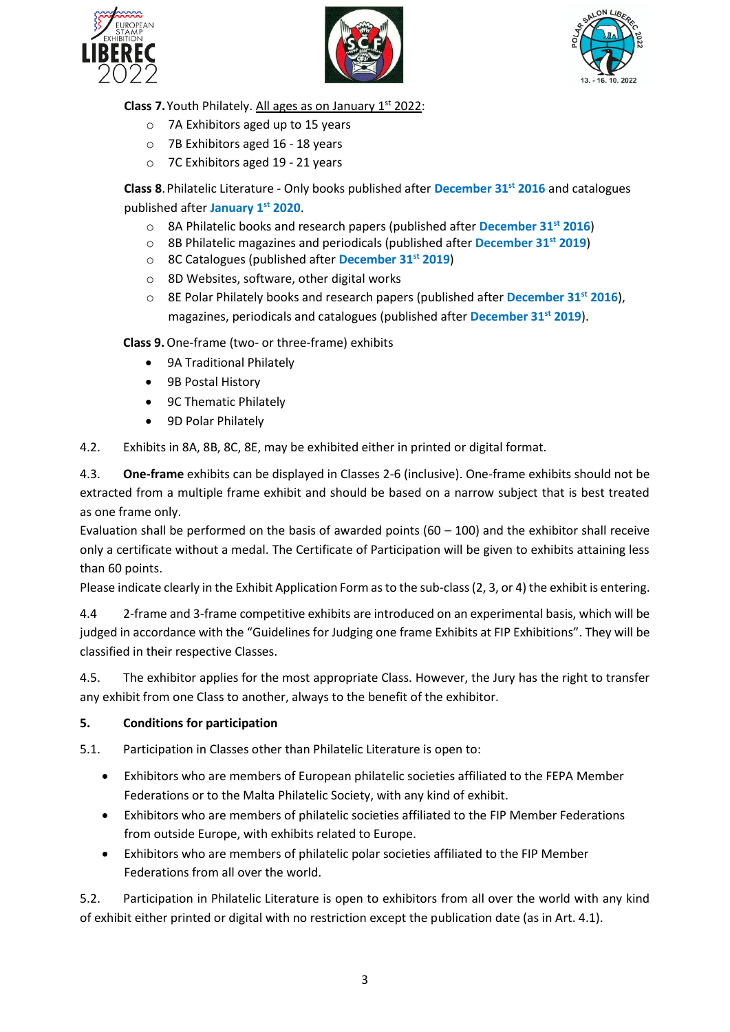





**Class 7.** Youth Philately. All ages as on January 1<sup>st</sup> 2022:

- o 7A Exhibitors aged up to 15 years
- o 7B Exhibitors aged 16 18 years
- o 7C Exhibitors aged 19 21 years

**Class 8**.Philatelic Literature - Only books published after **December 31st 2016** and catalogues published after **January 1st 2020**.

- o 8A Philatelic books and research papers (published after **December 31st 2016**)
- o 8B Philatelic magazines and periodicals (published after **December 31st 2019**)
- o 8C Catalogues (published after **December 31st 2019**)
- o 8D Websites, software, other digital works
- o 8E Polar Philately books and research papers (published after **December 31st 2016**), magazines, periodicals and catalogues (published after **December 31st 2019**).

**Class 9.**One-frame (two- or three-frame) exhibits

- 9A Traditional Philately
- 9B Postal History
- 9C Thematic Philately
- 9D Polar Philately

4.2. Exhibits in 8A, 8B, 8C, 8E, may be exhibited either in printed or digital format.

4.3. **One-frame** exhibits can be displayed in Classes 2-6 (inclusive). One-frame exhibits should not be extracted from a multiple frame exhibit and should be based on a narrow subject that is best treated as one frame only.

Evaluation shall be performed on the basis of awarded points ( $60 - 100$ ) and the exhibitor shall receive only a certificate without a medal. The Certificate of Participation will be given to exhibits attaining less than 60 points.

Please indicate clearly in the Exhibit Application Form as to the sub-class (2, 3, or 4) the exhibit is entering.

4.4 2-frame and 3-frame competitive exhibits are introduced on an experimental basis, which will be judged in accordance with the "Guidelines for Judging one frame Exhibits at FIP Exhibitions". They will be classified in their respective Classes.

4.5. The exhibitor applies for the most appropriate Class. However, the Jury has the right to transfer any exhibit from one Class to another, always to the benefit of the exhibitor.

## **5. Conditions for participation**

5.1. Participation in Classes other than Philatelic Literature is open to:

- Exhibitors who are members of European philatelic societies affiliated to the FEPA Member Federations or to the Malta Philatelic Society, with any kind of exhibit.
- Exhibitors who are members of philatelic societies affiliated to the FIP Member Federations from outside Europe, with exhibits related to Europe.
- Exhibitors who are members of philatelic polar societies affiliated to the FIP Member Federations from all over the world.

5.2. Participation in Philatelic Literature is open to exhibitors from all over the world with any kind of exhibit either printed or digital with no restriction except the publication date (as in Art. 4.1).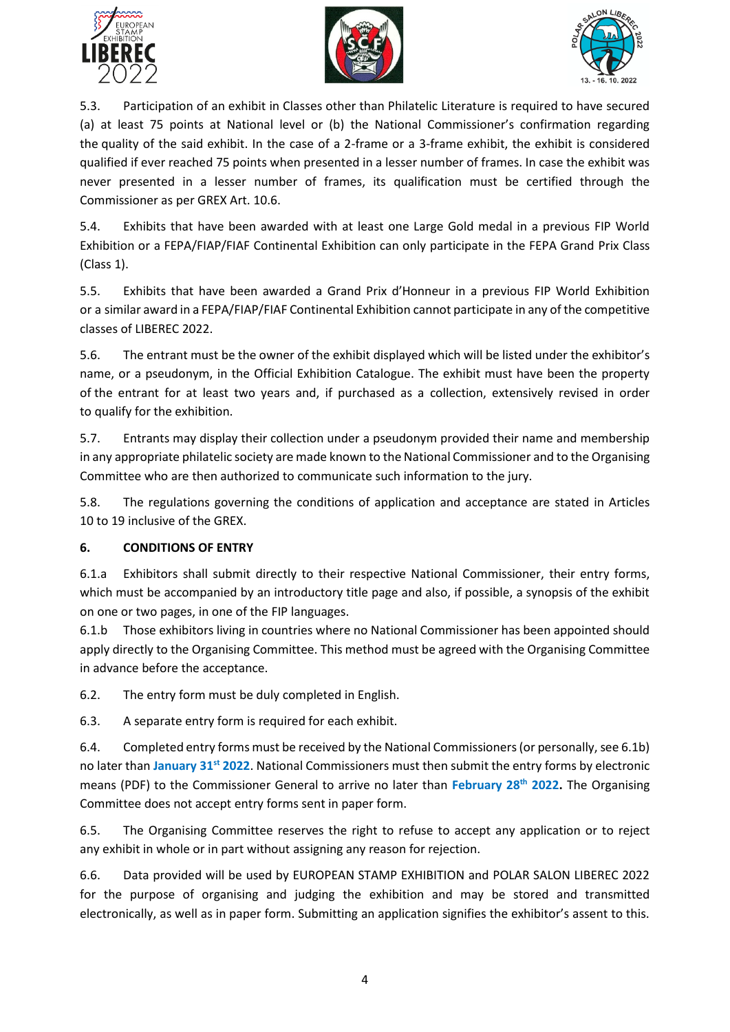





5.3. Participation of an exhibit in Classes other than Philatelic Literature is required to have secured (a) at least 75 points at National level or (b) the National Commissioner's confirmation regarding the quality of the said exhibit. In the case of a 2-frame or a 3-frame exhibit, the exhibit is considered qualified if ever reached 75 points when presented in a lesser number of frames. In case the exhibit was never presented in a lesser number of frames, its qualification must be certified through the Commissioner as per GREX Art. 10.6.

5.4. Exhibits that have been awarded with at least one Large Gold medal in a previous FIP World Exhibition or a FEPA/FIAP/FIAF Continental Exhibition can only participate in the FEPA Grand Prix Class (Class 1).

5.5. Exhibits that have been awarded a Grand Prix d'Honneur in a previous FIP World Exhibition or a similar award in a FEPA/FIAP/FIAF Continental Exhibition cannot participate in any of the competitive classes of LIBEREC 2022.

5.6. The entrant must be the owner of the exhibit displayed which will be listed under the exhibitor's name, or a pseudonym, in the Official Exhibition Catalogue. The exhibit must have been the property of the entrant for at least two years and, if purchased as a collection, extensively revised in order to qualify for the exhibition.

5.7. Entrants may display their collection under a pseudonym provided their name and membership in any appropriate philatelic society are made known to the National Commissioner and to the Organising Committee who are then authorized to communicate such information to the jury.

5.8. The regulations governing the conditions of application and acceptance are stated in Articles 10 to 19 inclusive of the GREX.

## **6. CONDITIONS OF ENTRY**

6.1.a Exhibitors shall submit directly to their respective National Commissioner, their entry forms, which must be accompanied by an introductory title page and also, if possible, a synopsis of the exhibit on one or two pages, in one of the FIP languages.

6.1.b Those exhibitors living in countries where no National Commissioner has been appointed should apply directly to the Organising Committee. This method must be agreed with the Organising Committee in advance before the acceptance.

6.2. The entry form must be duly completed in English.

6.3. A separate entry form is required for each exhibit.

6.4. Completed entry forms must be received by the National Commissioners (or personally, see 6.1b) no later than **January 31st 2022**. National Commissioners must then submit the entry forms by electronic means (PDF) to the Commissioner General to arrive no later than **February 28th 2022.** The Organising Committee does not accept entry forms sent in paper form.

6.5. The Organising Committee reserves the right to refuse to accept any application or to reject any exhibit in whole or in part without assigning any reason for rejection.

6.6. Data provided will be used by EUROPEAN STAMP EXHIBITION and POLAR SALON LIBEREC 2022 for the purpose of organising and judging the exhibition and may be stored and transmitted electronically, as well as in paper form. Submitting an application signifies the exhibitor's assent to this.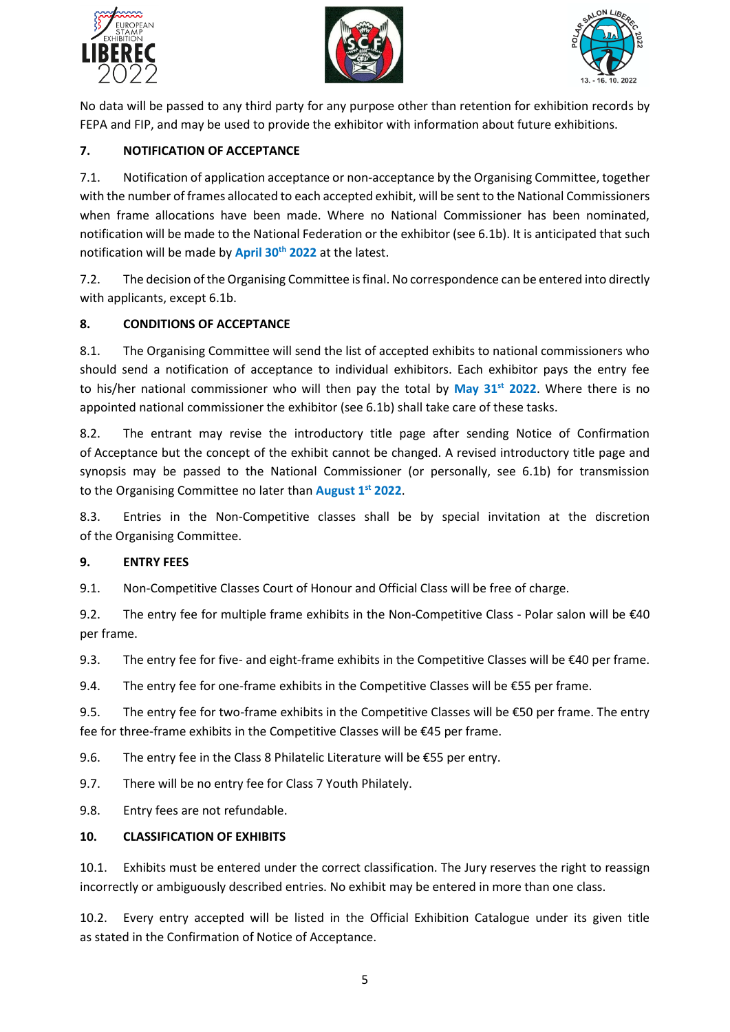





No data will be passed to any third party for any purpose other than retention for exhibition records by FEPA and FIP, and may be used to provide the exhibitor with information about future exhibitions.

### **7. NOTIFICATION OF ACCEPTANCE**

7.1. Notification of application acceptance or non-acceptance by the Organising Committee, together with the number of frames allocated to each accepted exhibit, will be sent to the National Commissioners when frame allocations have been made. Where no National Commissioner has been nominated, notification will be made to the National Federation or the exhibitor (see 6.1b). It is anticipated that such notification will be made by **April 30th 2022** at the latest.

7.2. The decision of the Organising Committee is final. No correspondence can be entered into directly with applicants, except 6.1b.

#### **8. CONDITIONS OF ACCEPTANCE**

8.1. The Organising Committee will send the list of accepted exhibits to national commissioners who should send a notification of acceptance to individual exhibitors. Each exhibitor pays the entry fee to his/her national commissioner who will then pay the total by **May 31st 2022**. Where there is no appointed national commissioner the exhibitor (see 6.1b) shall take care of these tasks.

8.2. The entrant may revise the introductory title page after sending Notice of Confirmation of Acceptance but the concept of the exhibit cannot be changed. A revised introductory title page and synopsis may be passed to the National Commissioner (or personally, see 6.1b) for transmission to the Organising Committee no later than **August 1st 2022**.

8.3. Entries in the Non-Competitive classes shall be by special invitation at the discretion of the Organising Committee.

#### **9. ENTRY FEES**

9.1. Non-Competitive Classes Court of Honour and Official Class will be free of charge.

9.2. The entry fee for multiple frame exhibits in the Non-Competitive Class - Polar salon will be €40 per frame.

9.3. The entry fee for five- and eight-frame exhibits in the Competitive Classes will be €40 per frame.

9.4. The entry fee for one-frame exhibits in the Competitive Classes will be  $\epsilon$ 55 per frame.

9.5. The entry fee for two-frame exhibits in the Competitive Classes will be €50 per frame. The entry fee for three-frame exhibits in the Competitive Classes will be €45 per frame.

9.6. The entry fee in the Class 8 Philatelic Literature will be €55 per entry.

9.7. There will be no entry fee for Class 7 Youth Philately.

9.8. Entry fees are not refundable.

#### **10. CLASSIFICATION OF EXHIBITS**

10.1. Exhibits must be entered under the correct classification. The Jury reserves the right to reassign incorrectly or ambiguously described entries. No exhibit may be entered in more than one class.

10.2. Every entry accepted will be listed in the Official Exhibition Catalogue under its given title as stated in the Confirmation of Notice of Acceptance.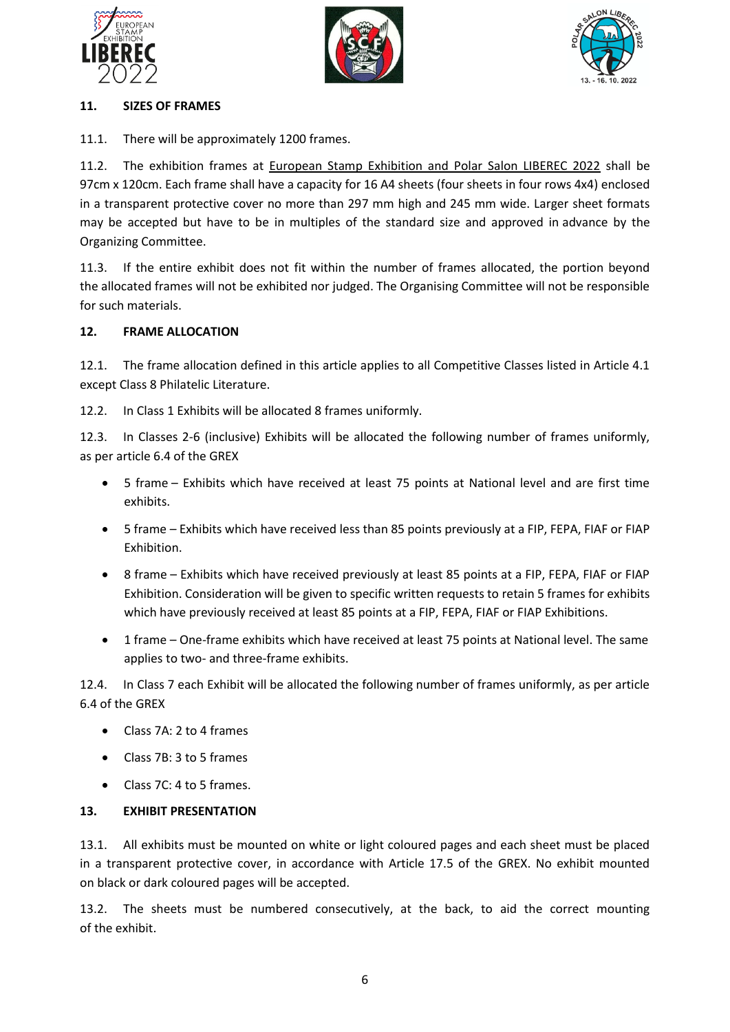





#### **11. SIZES OF FRAMES**

11.1. There will be approximately 1200 frames.

11.2. The exhibition frames at European Stamp Exhibition and Polar Salon LIBEREC 2022 shall be 97cm x 120cm. Each frame shall have a capacity for 16 A4 sheets (four sheets in four rows 4x4) enclosed in a transparent protective cover no more than 297 mm high and 245 mm wide. Larger sheet formats may be accepted but have to be in multiples of the standard size and approved in advance by the Organizing Committee.

11.3. If the entire exhibit does not fit within the number of frames allocated, the portion beyond the allocated frames will not be exhibited nor judged. The Organising Committee will not be responsible for such materials.

## **12. FRAME ALLOCATION**

12.1. The frame allocation defined in this article applies to all Competitive Classes listed in Article 4.1 except Class 8 Philatelic Literature.

12.2. In Class 1 Exhibits will be allocated 8 frames uniformly.

12.3. In Classes 2-6 (inclusive) Exhibits will be allocated the following number of frames uniformly, as per article 6.4 of the GREX

- 5 frame Exhibits which have received at least 75 points at National level and are first time exhibits.
- 5 frame Exhibits which have received less than 85 points previously at a FIP, FEPA, FIAF or FIAP Exhibition.
- 8 frame Exhibits which have received previously at least 85 points at a FIP, FEPA, FIAF or FIAP Exhibition. Consideration will be given to specific written requests to retain 5 frames for exhibits which have previously received at least 85 points at a FIP, FEPA, FIAF or FIAP Exhibitions.
- 1 frame One-frame exhibits which have received at least 75 points at National level. The same applies to two- and three-frame exhibits.

12.4. In Class 7 each Exhibit will be allocated the following number of frames uniformly, as per article 6.4 of the GREX

- Class 7A: 2 to 4 frames
- Class 7B: 3 to 5 frames
- Class 7C: 4 to 5 frames.

## **13. EXHIBIT PRESENTATION**

13.1. All exhibits must be mounted on white or light coloured pages and each sheet must be placed in a transparent protective cover, in accordance with Article 17.5 of the GREX. No exhibit mounted on black or dark coloured pages will be accepted.

13.2. The sheets must be numbered consecutively, at the back, to aid the correct mounting of the exhibit.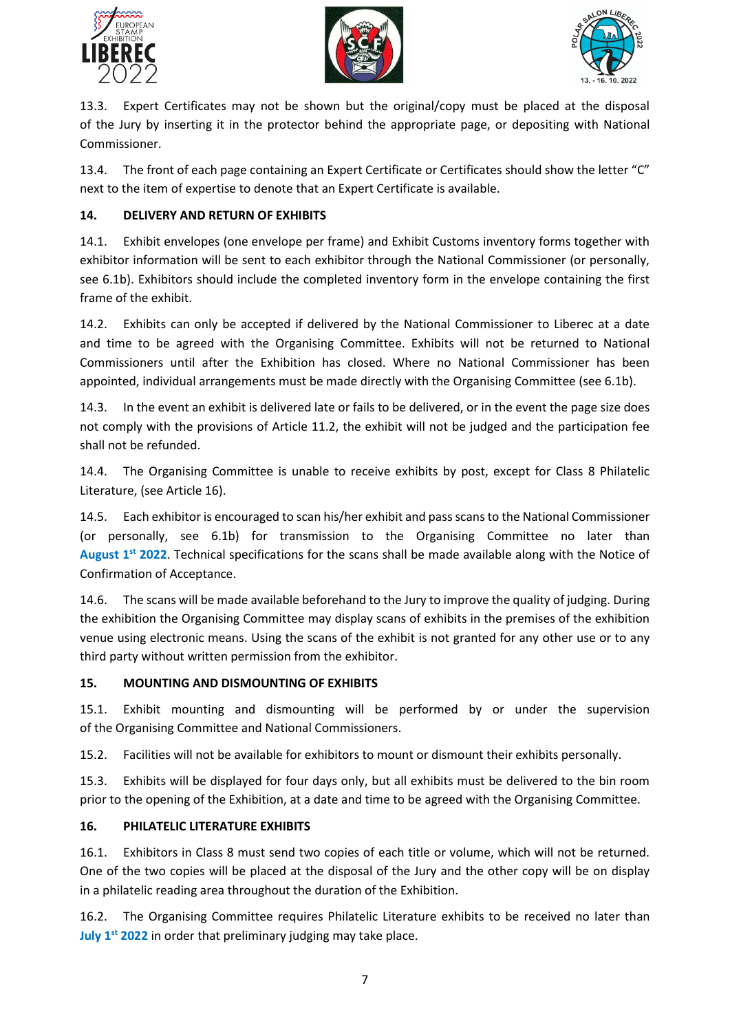





13.3. Expert Certificates may not be shown but the original/copy must be placed at the disposal of the Jury by inserting it in the protector behind the appropriate page, or depositing with National Commissioner.

13.4. The front of each page containing an Expert Certificate or Certificates should show the letter "C" next to the item of expertise to denote that an Expert Certificate is available.

## **14. DELIVERY AND RETURN OF EXHIBITS**

14.1. Exhibit envelopes (one envelope per frame) and Exhibit Customs inventory forms together with exhibitor information will be sent to each exhibitor through the National Commissioner (or personally, see 6.1b). Exhibitors should include the completed inventory form in the envelope containing the first frame of the exhibit.

14.2. Exhibits can only be accepted if delivered by the National Commissioner to Liberec at a date and time to be agreed with the Organising Committee. Exhibits will not be returned to National Commissioners until after the Exhibition has closed. Where no National Commissioner has been appointed, individual arrangements must be made directly with the Organising Committee (see 6.1b).

14.3. In the event an exhibit is delivered late or fails to be delivered, or in the event the page size does not comply with the provisions of Article 11.2, the exhibit will not be judged and the participation fee shall not be refunded.

14.4. The Organising Committee is unable to receive exhibits by post, except for Class 8 Philatelic Literature, (see Article 16).

14.5. Each exhibitor is encouraged to scan his/her exhibit and pass scans to the National Commissioner (or personally, see 6.1b) for transmission to the Organising Committee no later than **August 1st 2022**. Technical specifications for the scans shall be made available along with the Notice of Confirmation of Acceptance.

14.6. The scans will be made available beforehand to the Jury to improve the quality of judging. During the exhibition the Organising Committee may display scans of exhibits in the premises of the exhibition venue using electronic means. Using the scans of the exhibit is not granted for any other use or to any third party without written permission from the exhibitor.

## **15. MOUNTING AND DISMOUNTING OF EXHIBITS**

15.1. Exhibit mounting and dismounting will be performed by or under the supervision of the Organising Committee and National Commissioners.

15.2. Facilities will not be available for exhibitors to mount or dismount their exhibits personally.

15.3. Exhibits will be displayed for four days only, but all exhibits must be delivered to the bin room prior to the opening of the Exhibition, at a date and time to be agreed with the Organising Committee.

## **16. PHILATELIC LITERATURE EXHIBITS**

16.1. Exhibitors in Class 8 must send two copies of each title or volume, which will not be returned. One of the two copies will be placed at the disposal of the Jury and the other copy will be on display in a philatelic reading area throughout the duration of the Exhibition.

16.2. The Organising Committee requires Philatelic Literature exhibits to be received no later than **July 1st 2022** in order that preliminary judging may take place.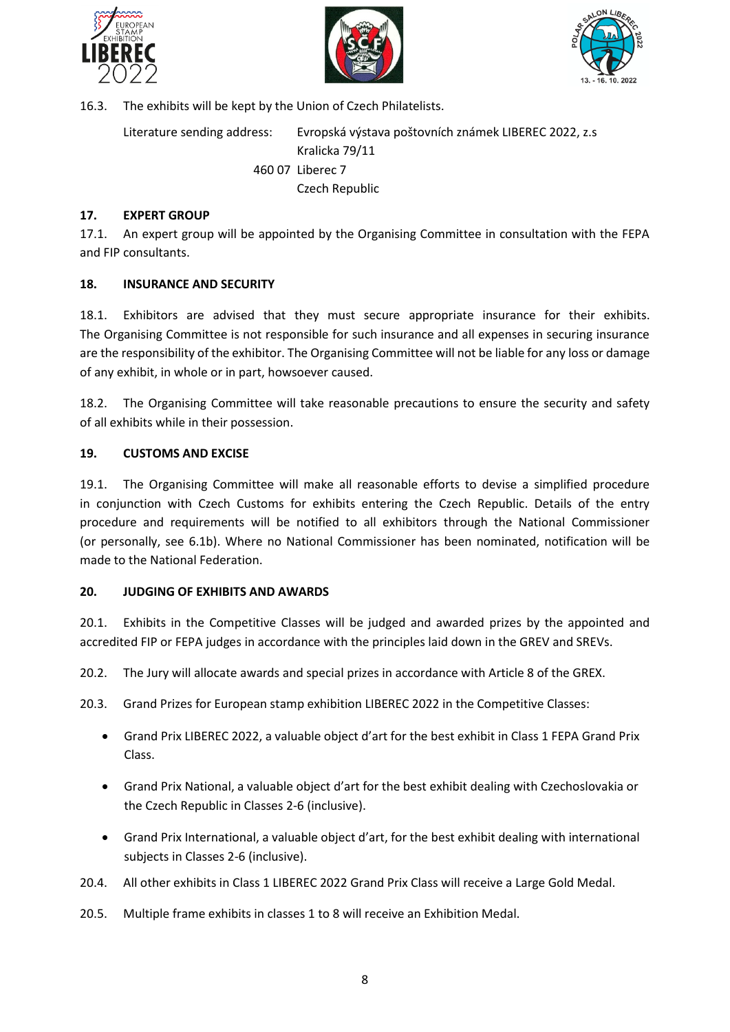





16.3. The exhibits will be kept by the Union of Czech Philatelists.

Literature sending address: Evropská výstava poštovních známek LIBEREC 2022, z.s Kralicka 79/11 460 07 Liberec 7 Czech Republic

#### **17. EXPERT GROUP**

17.1. An expert group will be appointed by the Organising Committee in consultation with the FEPA and FIP consultants.

#### **18. INSURANCE AND SECURITY**

18.1. Exhibitors are advised that they must secure appropriate insurance for their exhibits. The Organising Committee is not responsible for such insurance and all expenses in securing insurance are the responsibility of the exhibitor. The Organising Committee will not be liable for any loss or damage of any exhibit, in whole or in part, howsoever caused.

18.2. The Organising Committee will take reasonable precautions to ensure the security and safety of all exhibits while in their possession.

#### **19. CUSTOMS AND EXCISE**

19.1. The Organising Committee will make all reasonable efforts to devise a simplified procedure in conjunction with Czech Customs for exhibits entering the Czech Republic. Details of the entry procedure and requirements will be notified to all exhibitors through the National Commissioner (or personally, see 6.1b). Where no National Commissioner has been nominated, notification will be made to the National Federation.

#### **20. JUDGING OF EXHIBITS AND AWARDS**

20.1. Exhibits in the Competitive Classes will be judged and awarded prizes by the appointed and accredited FIP or FEPA judges in accordance with the principles laid down in the GREV and SREVs.

20.2. The Jury will allocate awards and special prizes in accordance with Article 8 of the GREX.

20.3. Grand Prizes for European stamp exhibition LIBEREC 2022 in the Competitive Classes:

- Grand Prix LIBEREC 2022, a valuable object d'art for the best exhibit in Class 1 FEPA Grand Prix Class.
- Grand Prix National, a valuable object d'art for the best exhibit dealing with Czechoslovakia or the Czech Republic in Classes 2-6 (inclusive).
- Grand Prix International, a valuable object d'art, for the best exhibit dealing with international subjects in Classes 2-6 (inclusive).
- 20.4. All other exhibits in Class 1 LIBEREC 2022 Grand Prix Class will receive a Large Gold Medal.
- 20.5. Multiple frame exhibits in classes 1 to 8 will receive an Exhibition Medal.